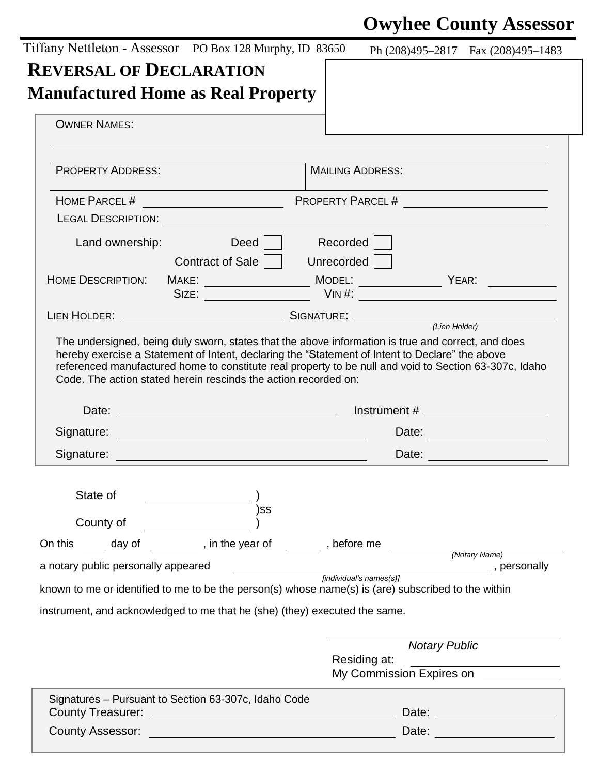# **Owyhee County Assessor**

| Tiffany Nettleton - Assessor PO Box 128 Murphy, ID 83650                                                                                                                                                                                                                                                                                               | Ph $(208)495-2817$ Fax $(208)495-1483$                                                                 |
|--------------------------------------------------------------------------------------------------------------------------------------------------------------------------------------------------------------------------------------------------------------------------------------------------------------------------------------------------------|--------------------------------------------------------------------------------------------------------|
| <b>REVERSAL OF DECLARATION</b>                                                                                                                                                                                                                                                                                                                         |                                                                                                        |
| <b>Manufactured Home as Real Property</b><br><b>OWNER NAMES:</b>                                                                                                                                                                                                                                                                                       |                                                                                                        |
|                                                                                                                                                                                                                                                                                                                                                        |                                                                                                        |
| <b>PROPERTY ADDRESS:</b>                                                                                                                                                                                                                                                                                                                               | <b>MAILING ADDRESS:</b>                                                                                |
|                                                                                                                                                                                                                                                                                                                                                        |                                                                                                        |
|                                                                                                                                                                                                                                                                                                                                                        |                                                                                                        |
|                                                                                                                                                                                                                                                                                                                                                        |                                                                                                        |
| Deed<br>Land ownership:                                                                                                                                                                                                                                                                                                                                | Recorded                                                                                               |
| Contract of Sale                                                                                                                                                                                                                                                                                                                                       | Unrecorded                                                                                             |
| <b>HOME DESCRIPTION:</b>                                                                                                                                                                                                                                                                                                                               |                                                                                                        |
|                                                                                                                                                                                                                                                                                                                                                        | SIZE: VIN #:                                                                                           |
| LIEN HOLDER: <u>Canadian Communication</u> SIGNATURE: <u>Canadian Clien Holder</u>                                                                                                                                                                                                                                                                     |                                                                                                        |
| hereby exercise a Statement of Intent, declaring the "Statement of Intent to Declare" the above                                                                                                                                                                                                                                                        |                                                                                                        |
| Code. The action stated herein rescinds the action recorded on:                                                                                                                                                                                                                                                                                        | referenced manufactured home to constitute real property to be null and void to Section 63-307c, Idaho |
|                                                                                                                                                                                                                                                                                                                                                        |                                                                                                        |
|                                                                                                                                                                                                                                                                                                                                                        | Date: <u>____________________</u><br>Date: <u>_______________</u>                                      |
|                                                                                                                                                                                                                                                                                                                                                        |                                                                                                        |
| State of                                                                                                                                                                                                                                                                                                                                               |                                                                                                        |
| SS)                                                                                                                                                                                                                                                                                                                                                    |                                                                                                        |
| County of                                                                                                                                                                                                                                                                                                                                              |                                                                                                        |
|                                                                                                                                                                                                                                                                                                                                                        | (Notary Name)                                                                                          |
|                                                                                                                                                                                                                                                                                                                                                        | [individual's names(s)]                                                                                |
|                                                                                                                                                                                                                                                                                                                                                        |                                                                                                        |
|                                                                                                                                                                                                                                                                                                                                                        |                                                                                                        |
|                                                                                                                                                                                                                                                                                                                                                        |                                                                                                        |
|                                                                                                                                                                                                                                                                                                                                                        | <b>Notary Public</b><br>Residing at:                                                                   |
|                                                                                                                                                                                                                                                                                                                                                        | My Commission Expires on                                                                               |
| On this _____ day of __________, in the year of _______, before me<br>a notary public personally appeared<br>known to me or identified to me to be the person(s) whose name(s) is (are) subscribed to the within<br>instrument, and acknowledged to me that he (she) (they) executed the same.<br>Signatures - Pursuant to Section 63-307c, Idaho Code | Date: <u>____________________</u>                                                                      |